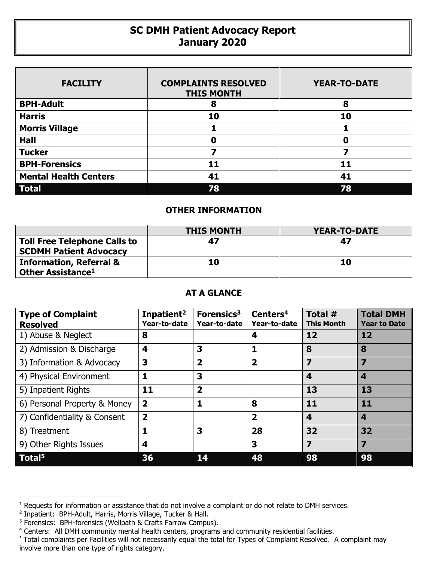## **SC DMH Patient Advocacy Report January 2020**

| <b>FACILITY</b>              | <b>COMPLAINTS RESOLVED</b><br><b>THIS MONTH</b> | <b>YEAR-TO-DATE</b> |
|------------------------------|-------------------------------------------------|---------------------|
| <b>BPH-Adult</b>             | 8                                               | 8                   |
| <b>Harris</b>                | 10                                              | 10                  |
| <b>Morris Village</b>        |                                                 |                     |
| <b>Hall</b>                  | Ω                                               | 0                   |
| <b>Tucker</b>                |                                                 |                     |
| <b>BPH-Forensics</b>         | 11                                              | 11                  |
| <b>Mental Health Centers</b> | 41                                              | 41                  |
| <b>Total</b>                 | 78                                              | 78                  |

## **OTHER INFORMATION**

|                                                                      | <b>THIS MONTH</b> | <b>YEAR-TO-DATE</b> |
|----------------------------------------------------------------------|-------------------|---------------------|
| <b>Toll Free Telephone Calls to</b><br><b>SCDMH Patient Advocacy</b> | 47                | 47                  |
| <b>Information, Referral &amp;</b><br>Other Assistance <sup>1</sup>  | 10                | 10                  |

## **AT A GLANCE**

| <b>Type of Complaint</b><br><b>Resolved</b> | Inpatient <sup>2</sup><br>Year-to-date | Forensics <sup>3</sup><br>Year-to-date | Centers <sup>4</sup><br>Year-to-date | Total #<br><b>This Month</b> | <b>Total DMH</b><br><b>Year to Date</b> |
|---------------------------------------------|----------------------------------------|----------------------------------------|--------------------------------------|------------------------------|-----------------------------------------|
| 1) Abuse & Neglect                          | 8                                      |                                        | 4                                    | 12                           | 12                                      |
| 2) Admission & Discharge                    | 4                                      | 3                                      | 1                                    | 8                            | 8                                       |
| 3) Information & Advocacy                   | 3                                      | $\overline{\mathbf{2}}$                | $\overline{2}$                       | 7                            | 7                                       |
| 4) Physical Environment                     | 1                                      | 3                                      |                                      | 4                            | 4                                       |
| 5) Inpatient Rights                         | 11                                     | $\overline{\mathbf{2}}$                |                                      | 13                           | 13                                      |
| 6) Personal Property & Money                | $\overline{2}$                         | 1                                      | 8                                    | 11                           | 11                                      |
| 7) Confidentiality & Consent                | $\overline{\mathbf{2}}$                |                                        | $\overline{\mathbf{2}}$              | 4                            | 4                                       |
| 8) Treatment                                | 1                                      | 3                                      | 28                                   | 32                           | 32                                      |
| 9) Other Rights Issues                      | 4                                      |                                        | 3                                    | 7                            | 7                                       |
| Total <sup>5</sup>                          | 36                                     |                                        | 48                                   | 98                           | 98                                      |

 $\overline{a}$ 

<sup>&</sup>lt;sup>1</sup> Requests for information or assistance that do not involve a complaint or do not relate to DMH services.

<sup>2</sup> Inpatient: BPH-Adult, Harris, Morris Village, Tucker & Hall.

<sup>&</sup>lt;sup>3</sup> Forensics: BPH-forensics (Wellpath & Crafts Farrow Campus).

<sup>&</sup>lt;sup>4</sup> Centers: All DMH community mental health centers, programs and community residential facilities.

<sup>&</sup>lt;sup>5</sup> Total complaints per Facilities will not necessarily equal the total for Types of Complaint Resolved. A complaint may involve more than one type of rights category.